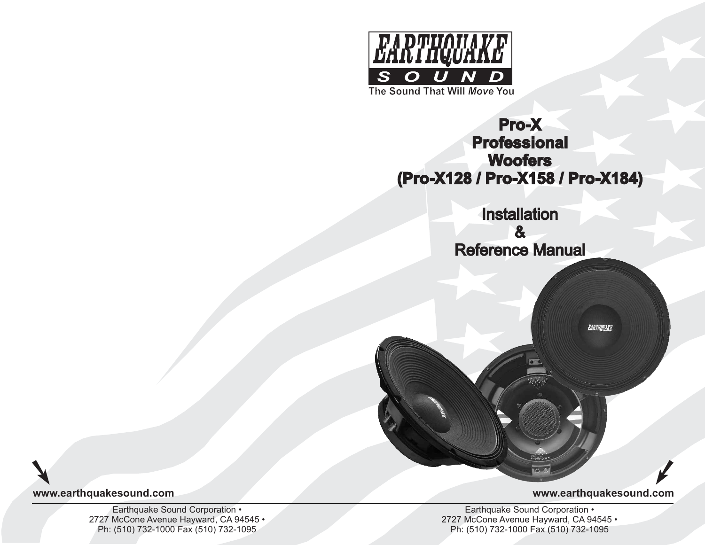

# **Pro-X Professional Woofers (Pro-X128 / Pro-X158 / Pro-X184)**

Installation & Reference Manual

EARTHQUAKE

**www.earthquakesound.com**

Earthquake Sound Corporation • 2727 McCone Avenue Hayward, CA 94545 • Ph: (510) 732-1000 Fax (510) 732-1095

**www.earthquakesound.com**

Earthquake Sound Corporation • 2727 McCone Avenue Hayward, CA 94545 • Ph: (510) 732-1000 Fax (510) 732-1095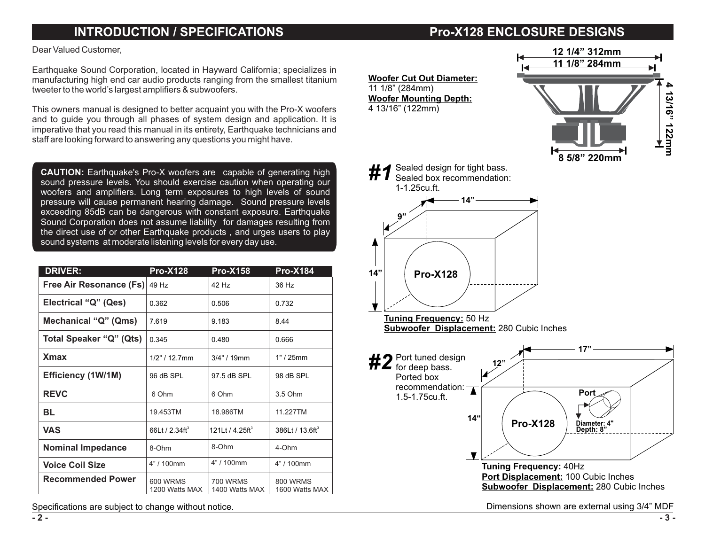## **INTRODUCTION / SPECIFICATIONS**

## **Pro-X128 ENCLOSURE DESIGNS**

Dear Valued Customer,

Earthquake Sound Corporation, located in Hayward California; specializes in manufacturing high end car audio products ranging from the smallest titanium tweeter to the world's largest amplifiers & subwoofers.

This owners manual is designed to better acquaint you with the Pro-X woofers and to guide you through all phases of system design and application. It is imperative that you read this manual in its entirety, Earthquake technicians and staff are looking forward to answering any questions you might have.

**CAUTION:** Earthquake's Pro-X woofers are capable of generating high sound pressure levels. You should exercise caution when operating our woofers and amplifiers . Long term exposures to high levels of sound pressure will cause permanent hearing damage. Sound pressure levels exceeding 85dB can be dangerous with constant exposure. Earthquake the direct use of or other Earthquake products, and urges users to play sound systems at moderate listening levels for every day use. Sound Corporation does not assume liability for damages resulting from

| <b>DRIVER:</b>                 | $Pro-X128$                    | <b>Pro-X158</b>                   | <b>Pro-X184</b>                   |
|--------------------------------|-------------------------------|-----------------------------------|-----------------------------------|
| <b>Free Air Resonance (Fs)</b> | 49 Hz                         | 42 Hz                             | 36 Hz                             |
| Electrical "Q" (Qes)           | 0.362                         | 0.506                             | 0.732                             |
| Mechanical "Q" (Qms)           | 7.619                         | 9.183                             | 8.44                              |
| Total Speaker "Q" (Qts)        | 0.345                         | 0.480                             | 0.666                             |
| <b>X</b> max                   | $1/2" / 12.7$ mm              | 3/4" / 19mm                       | 1" / 25mm                         |
| Efficiency (1W/1M)             | 96 dB SPL                     | 97.5 dB SPL                       | 98 dB SPL                         |
| <b>REVC</b>                    | 6 Ohm                         | 6 Ohm                             | 3.5 Ohm                           |
| BL                             | 19.453TM                      | 18.986TM                          | 11.227TM                          |
| <b>VAS</b>                     | 66Lt / $2.34$ ft <sup>3</sup> | 121Lt / $4.25 \text{ft}^3$        | 386Lt / $13.6$ ft <sup>3</sup>    |
| <b>Nominal Impedance</b>       | 8-Ohm                         | 8-Ohm                             | 4-Ohm                             |
| <b>Voice Coil Size</b>         | 4" / 100mm                    | 4" / 100mm                        | 4" / 100mm                        |
| <b>Recommended Power</b>       | 600 WRMS<br>1200 Watts MAX    | <b>700 WRMS</b><br>1400 Watts MAX | <b>800 WRMS</b><br>1600 Watts MAX |

Specifications are subject to change without notice.

**Woofer Cut Out Diameter:** 11 1/8" (284mm) **Woofer Mounting Depth:** 4 13/16" (122mm)









Dimensions shown are external using 3/4" MDF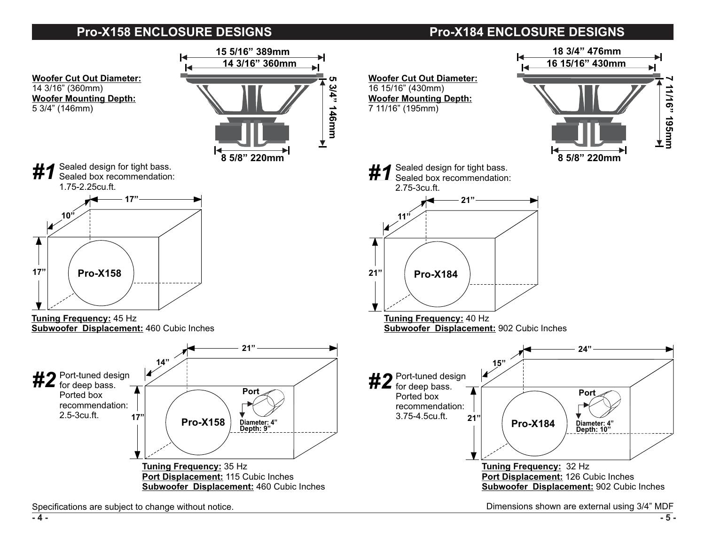## **Pro-X158 ENCLOSURE DESIGNS Pro-X184 ENCLOSURE DESIGNS**